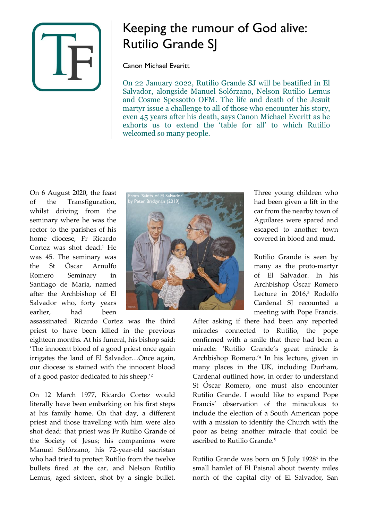

## Keeping the rumour of God alive: Rutilio Grande SJ

Canon Michael Everitt

On 22 January 2022, Rutilio Grande SJ will be beatified in El Salvador, alongside Manuel Solórzano, Nelson Rutilio Lemus and Cosme Spessotto OFM. The life and death of the Jesuit martyr issue a challenge to all of those who encounter his story, even 45 years after his death, says Canon Michael Everitt as he exhorts us to extend the 'table for all' to which Rutilio welcomed so many people.

On 6 August 2020, the feast of the Transfiguration, whilst driving from the seminary where he was the rector to the parishes of his home diocese, Fr Ricardo Cortez was shot dead.<sup>1</sup> He was 45. The seminary was the St Óscar Arnulfo Romero Seminary in Santiago de Maria, named after the Archbishop of El Salvador who, forty years earlier, had been



assassinated. Ricardo Cortez was the third priest to have been killed in the previous eighteen months. At his funeral, his bishop said: 'The innocent blood of a good priest once again irrigates the land of El Salvador…Once again, our diocese is stained with the innocent blood of a good pastor dedicated to his sheep.' 2

On 12 March 1977, Ricardo Cortez would literally have been embarking on his first steps at his family home. On that day, a different priest and those travelling with him were also shot dead: that priest was Fr Rutilio Grande of the Society of Jesus; his companions were Manuel Solórzano, his 72-year-old sacristan who had tried to protect Rutilio from the twelve bullets fired at the car, and Nelson Rutilio Lemus, aged sixteen, shot by a single bullet.

Three young children who had been given a lift in the car from the nearby town of Aguilares were spared and escaped to another town covered in blood and mud.

Rutilio Grande is seen by many as the proto-martyr of El Salvador. In his Archbishop Óscar Romero Lecture in 2016, <sup>3</sup> Rodolfo Cardenal SJ recounted a meeting with Pope Francis.

After asking if there had been any reported miracles connected to Rutilio, the pope confirmed with a smile that there had been a miracle: 'Rutilio Grande's great miracle is Archbishop Romero.' 4 In his lecture, given in many places in the UK, including Durham, Cardenal outlined how, in order to understand St Óscar Romero, one must also encounter Rutilio Grande. I would like to expand Pope Francis' observation of the miraculous to include the election of a South American pope with a mission to identify the Church with the poor as being another miracle that could be ascribed to Rutilio Grande.<sup>5</sup>

Rutilio Grande was born on 5 July 1928<sup>6</sup> in the small hamlet of El Paisnal about twenty miles north of the capital city of El Salvador, San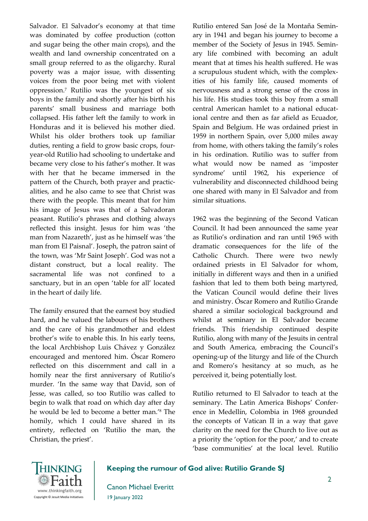Salvador. El Salvador's economy at that time was dominated by coffee production (cotton and sugar being the other main crops), and the wealth and land ownership concentrated on a small group referred to as the oligarchy. Rural poverty was a major issue, with dissenting voices from the poor being met with violent oppression.<sup>7</sup> Rutilio was the youngest of six boys in the family and shortly after his birth his parents' small business and marriage both collapsed. His father left the family to work in Honduras and it is believed his mother died. Whilst his older brothers took up familiar duties, renting a field to grow basic crops, fouryear-old Rutilio had schooling to undertake and became very close to his father's mother. It was with her that he became immersed in the pattern of the Church, both prayer and practicalities, and he also came to see that Christ was there with the people. This meant that for him his image of Jesus was that of a Salvadoran peasant. Rutilio's phrases and clothing always reflected this insight. Jesus for him was 'the man from Nazareth', just as he himself was 'the man from El Paisnal'. Joseph, the patron saint of the town, was 'Mr Saint Joseph'. God was not a distant construct, but a local reality. The sacramental life was not confined to a sanctuary, but in an open 'table for all' located in the heart of daily life.

The family ensured that the earnest boy studied hard, and he valued the labours of his brothers and the care of his grandmother and eldest brother's wife to enable this. In his early teens, the local Archbishop Luis Chávez y González encouraged and mentored him. Óscar Romero reflected on this discernment and call in a homily near the first anniversary of Rutilio's murder. 'In the same way that David, son of Jesse, was called, so too Rutilio was called to begin to walk that road on which day after day he would be led to become a better man.' <sup>8</sup> The homily, which I could have shared in its entirety, reflected on 'Rutilio the man, the Christian, the priest'.

Rutilio entered San José de la Montaña Seminary in 1941 and began his journey to become a member of the Society of Jesus in 1945. Seminary life combined with becoming an adult meant that at times his health suffered. He was a scrupulous student which, with the complexities of his family life, caused moments of nervousness and a strong sense of the cross in his life. His studies took this boy from a small central American hamlet to a national educational centre and then as far afield as Ecuador, Spain and Belgium. He was ordained priest in 1959 in northern Spain, over 5,000 miles away from home, with others taking the family's roles in his ordination. Rutilio was to suffer from what would now be named as 'imposter syndrome' until 1962, his experience of vulnerability and disconnected childhood being one shared with many in El Salvador and from similar situations.

1962 was the beginning of the Second Vatican Council. It had been announced the same year as Rutilio's ordination and ran until 1965 with dramatic consequences for the life of the Catholic Church. There were two newly ordained priests in El Salvador for whom, initially in different ways and then in a unified fashion that led to them both being martyred, the Vatican Council would define their lives and ministry. Óscar Romero and Rutilio Grande shared a similar sociological background and whilst at seminary in El Salvador became friends. This friendship continued despite Rutilio, along with many of the Jesuits in central and South America, embracing the Council's opening-up of the liturgy and life of the Church and Romero's hesitancy at so much, as he perceived it, being potentially lost.

Rutilio returned to El Salvador to teach at the seminary. The Latin America Bishops' Conference in Medellín, Colombia in 1968 grounded the concepts of Vatican II in a way that gave clarity on the need for the Church to live out as a priority the 'option for the poor,' and to create 'base communities' at the local level. Rutilio



**Keeping the rumour of God alive: Rutilio Grande SJ**

Canon Michael Everitt 19 January 2022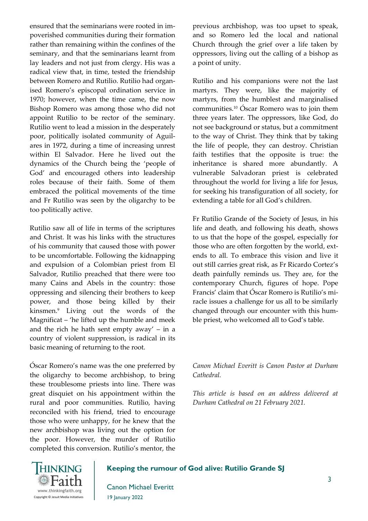ensured that the seminarians were rooted in impoverished communities during their formation rather than remaining within the confines of the seminary, and that the seminarians learnt from lay leaders and not just from clergy. His was a radical view that, in time, tested the friendship between Romero and Rutilio. Rutilio had organised Romero's episcopal ordination service in 1970; however, when the time came, the now Bishop Romero was among those who did not appoint Rutilio to be rector of the seminary. Rutilio went to lead a mission in the desperately poor, politically isolated community of Aguilares in 1972, during a time of increasing unrest within El Salvador. Here he lived out the dynamics of the Church being the 'people of God' and encouraged others into leadership roles because of their faith. Some of them embraced the political movements of the time and Fr Rutilio was seen by the oligarchy to be too politically active.

Rutilio saw all of life in terms of the scriptures and Christ. It was his links with the structures of his community that caused those with power to be uncomfortable. Following the kidnapping and expulsion of a Colombian priest from El Salvador, Rutilio preached that there were too many Cains and Abels in the country: those oppressing and silencing their brothers to keep power, and those being killed by their kinsmen.<sup>9</sup> Living out the words of the Magnificat – 'he lifted up the humble and meek and the rich he hath sent empty away' – in a country of violent suppression, is radical in its basic meaning of returning to the root.

Óscar Romero's name was the one preferred by the oligarchy to become archbishop, to bring these troublesome priests into line. There was great disquiet on his appointment within the rural and poor communities. Rutilio, having reconciled with his friend, tried to encourage those who were unhappy, for he knew that the new archbishop was living out the option for the poor. However, the murder of Rutilio completed this conversion. Rutilio's mentor, the

previous archbishop, was too upset to speak, and so Romero led the local and national Church through the grief over a life taken by oppressors, living out the calling of a bishop as a point of unity.

Rutilio and his companions were not the last martyrs. They were, like the majority of martyrs, from the humblest and marginalised communities.<sup>10</sup> Óscar Romero was to join them three years later. The oppressors, like God, do not see background or status, but a commitment to the way of Christ. They think that by taking the life of people, they can destroy. Christian faith testifies that the opposite is true: the inheritance is shared more abundantly. A vulnerable Salvadoran priest is celebrated throughout the world for living a life for Jesus, for seeking his transfiguration of all society, for extending a table for all God's children.

Fr Rutilio Grande of the Society of Jesus, in his life and death, and following his death, shows to us that the hope of the gospel, especially for those who are often forgotten by the world, extends to all. To embrace this vision and live it out still carries great risk, as Fr Ricardo Cortez's death painfully reminds us. They are, for the contemporary Church, figures of hope. Pope Francis' claim that Óscar Romero is Rutilio's miracle issues a challenge for us all to be similarly changed through our encounter with this humble priest, who welcomed all to God's table.

*Canon Michael Everitt is Canon Pastor at Durham Cathedral.*

*This article is based on an address delivered at Durham Cathedral on 21 February 2021.*



## **Keeping the rumour of God alive: Rutilio Grande SJ**

Canon Michael Everitt 19 January 2022